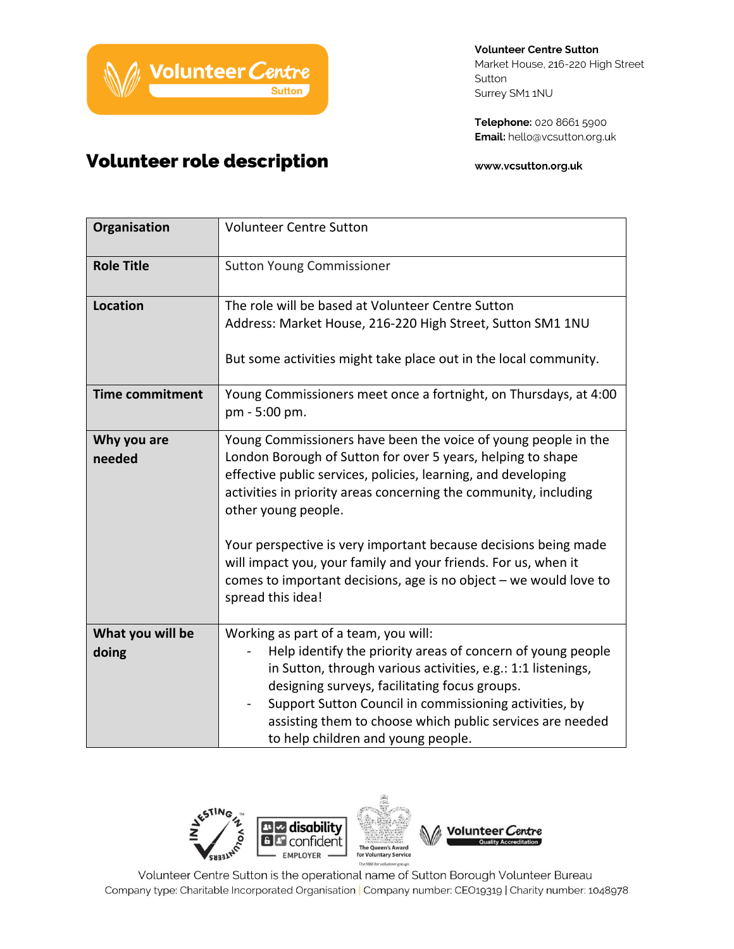

**Volunteer Centre Sutton** Market House, 216-220 High Street Sutton Surrey SM1 1NU

Telephone: 020 8661 5900 Email: hello@vcsutton.org.uk

www.vcsutton.org.uk

| Organisation              | <b>Volunteer Centre Sutton</b>                                                                                                                                                                                                                                                                                                                                                                                                                                                                                             |
|---------------------------|----------------------------------------------------------------------------------------------------------------------------------------------------------------------------------------------------------------------------------------------------------------------------------------------------------------------------------------------------------------------------------------------------------------------------------------------------------------------------------------------------------------------------|
| <b>Role Title</b>         | <b>Sutton Young Commissioner</b>                                                                                                                                                                                                                                                                                                                                                                                                                                                                                           |
| <b>Location</b>           | The role will be based at Volunteer Centre Sutton<br>Address: Market House, 216-220 High Street, Sutton SM1 1NU<br>But some activities might take place out in the local community.                                                                                                                                                                                                                                                                                                                                        |
| <b>Time commitment</b>    | Young Commissioners meet once a fortnight, on Thursdays, at 4:00<br>pm - 5:00 pm.                                                                                                                                                                                                                                                                                                                                                                                                                                          |
| Why you are<br>needed     | Young Commissioners have been the voice of young people in the<br>London Borough of Sutton for over 5 years, helping to shape<br>effective public services, policies, learning, and developing<br>activities in priority areas concerning the community, including<br>other young people.<br>Your perspective is very important because decisions being made<br>will impact you, your family and your friends. For us, when it<br>comes to important decisions, age is no object $-$ we would love to<br>spread this idea! |
| What you will be<br>doing | Working as part of a team, you will:<br>Help identify the priority areas of concern of young people<br>in Sutton, through various activities, e.g.: 1:1 listenings,<br>designing surveys, facilitating focus groups.<br>Support Sutton Council in commissioning activities, by<br>assisting them to choose which public services are needed<br>to help children and young people.                                                                                                                                          |



Volunteer Centre Sutton is the operational name of Sutton Borough Volunteer Bureau Company type: Charitable Incorporated Organisation | Company number: CEO19319 | Charity number: 1048978

## Volunteer role description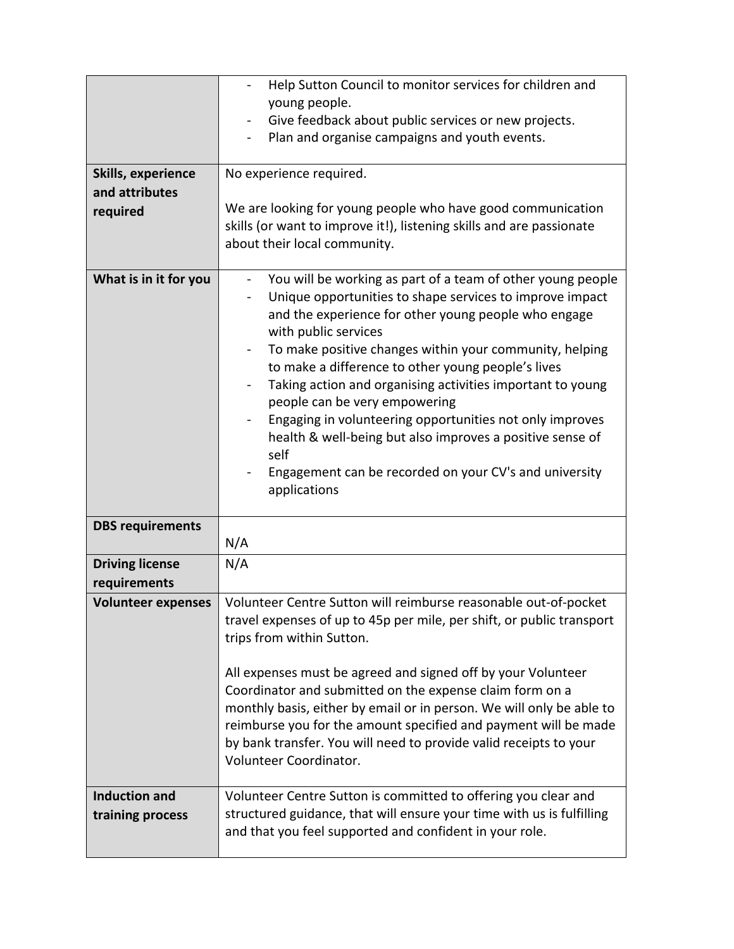|                                          | Help Sutton Council to monitor services for children and<br>young people.                                                                                                                                                                                                                                                                                                                                                                                                                                                                                                                                                                                                                          |
|------------------------------------------|----------------------------------------------------------------------------------------------------------------------------------------------------------------------------------------------------------------------------------------------------------------------------------------------------------------------------------------------------------------------------------------------------------------------------------------------------------------------------------------------------------------------------------------------------------------------------------------------------------------------------------------------------------------------------------------------------|
|                                          | Give feedback about public services or new projects.                                                                                                                                                                                                                                                                                                                                                                                                                                                                                                                                                                                                                                               |
|                                          | Plan and organise campaigns and youth events.                                                                                                                                                                                                                                                                                                                                                                                                                                                                                                                                                                                                                                                      |
|                                          |                                                                                                                                                                                                                                                                                                                                                                                                                                                                                                                                                                                                                                                                                                    |
| Skills, experience                       | No experience required.                                                                                                                                                                                                                                                                                                                                                                                                                                                                                                                                                                                                                                                                            |
| and attributes                           |                                                                                                                                                                                                                                                                                                                                                                                                                                                                                                                                                                                                                                                                                                    |
| required                                 | We are looking for young people who have good communication                                                                                                                                                                                                                                                                                                                                                                                                                                                                                                                                                                                                                                        |
|                                          | skills (or want to improve it!), listening skills and are passionate<br>about their local community.                                                                                                                                                                                                                                                                                                                                                                                                                                                                                                                                                                                               |
|                                          |                                                                                                                                                                                                                                                                                                                                                                                                                                                                                                                                                                                                                                                                                                    |
| What is in it for you                    | You will be working as part of a team of other young people<br>$\qquad \qquad \blacksquare$<br>Unique opportunities to shape services to improve impact<br>and the experience for other young people who engage<br>with public services<br>To make positive changes within your community, helping<br>$\qquad \qquad \blacksquare$<br>to make a difference to other young people's lives<br>Taking action and organising activities important to young<br>people can be very empowering<br>Engaging in volunteering opportunities not only improves<br>health & well-being but also improves a positive sense of<br>self<br>Engagement can be recorded on your CV's and university<br>applications |
| <b>DBS requirements</b>                  | N/A                                                                                                                                                                                                                                                                                                                                                                                                                                                                                                                                                                                                                                                                                                |
| <b>Driving license</b>                   | N/A                                                                                                                                                                                                                                                                                                                                                                                                                                                                                                                                                                                                                                                                                                |
| requirements                             |                                                                                                                                                                                                                                                                                                                                                                                                                                                                                                                                                                                                                                                                                                    |
| <b>Volunteer expenses</b>                | Volunteer Centre Sutton will reimburse reasonable out-of-pocket<br>travel expenses of up to 45p per mile, per shift, or public transport<br>trips from within Sutton.<br>All expenses must be agreed and signed off by your Volunteer                                                                                                                                                                                                                                                                                                                                                                                                                                                              |
|                                          | Coordinator and submitted on the expense claim form on a<br>monthly basis, either by email or in person. We will only be able to<br>reimburse you for the amount specified and payment will be made<br>by bank transfer. You will need to provide valid receipts to your<br>Volunteer Coordinator.                                                                                                                                                                                                                                                                                                                                                                                                 |
| <b>Induction and</b><br>training process | Volunteer Centre Sutton is committed to offering you clear and<br>structured guidance, that will ensure your time with us is fulfilling<br>and that you feel supported and confident in your role.                                                                                                                                                                                                                                                                                                                                                                                                                                                                                                 |